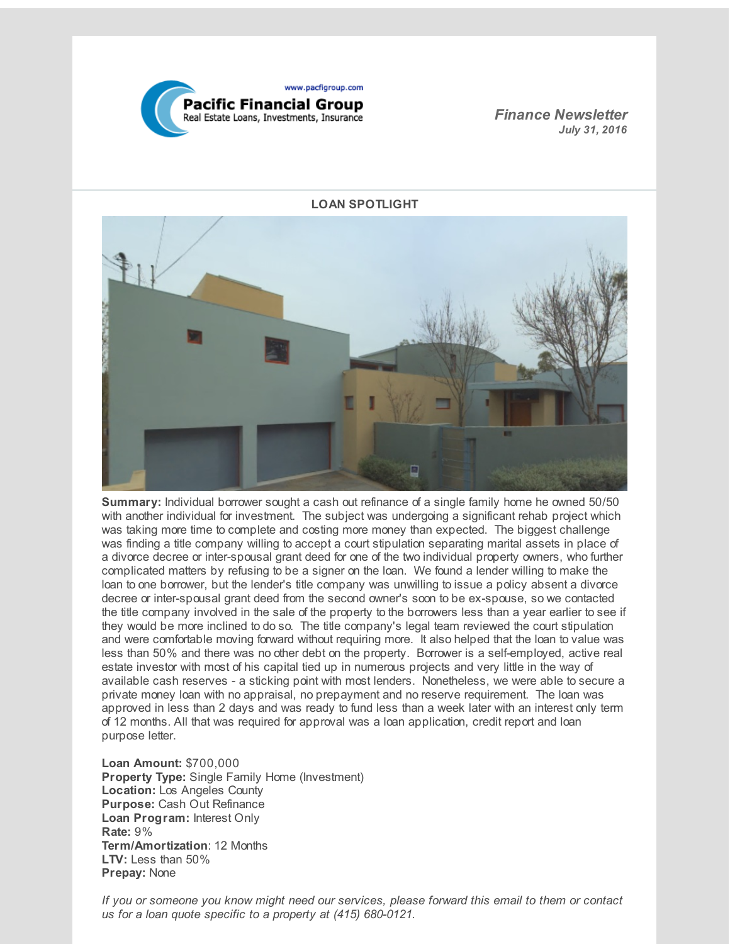

*Finance Newsletter July 31, 2016*



**Summary:** Individual borrower sought a cash out refinance of a single family home he owned 50/50 with another individual for investment. The subject was undergoing a significant rehab project which was taking more time to complete and costing more money than expected. The biggest challenge was finding a title company willing to accept a court stipulation separating marital assets in place of a divorce decree or inter-spousal grant deed for one of the two individual property owners, who further complicated matters by refusing to be a signer on the loan. We found a lender willing to make the loan to one borrower, but the lender's title company was unwilling to issue a policy absent a divorce decree or inter-spousal grant deed from the second owner's soon to be ex-spouse, so we contacted the title company involved in the sale of the property to the borrowers less than a year earlier to see if they would be more inclined to do so. The title company's legal team reviewed the court stipulation and were comfortable moving forward without requiring more. It also helped that the loan to value was less than 50% and there was no other debt on the property. Borrower is a self-employed, active real estate investor with most of his capital tied up in numerous projects and very little in the way of available cash reserves - a sticking point with most lenders. Nonetheless, we were able to secure a private money loan with no appraisal, no prepayment and no reserve requirement. The loan was approved in less than 2 days and was ready to fund less than a week later with an interest only term of 12 months. All that was required for approval was a loan application, credit report and loan purpose letter.

**Loan Amount:** \$700,000 **Property Type:** Single Family Home (Investment) **Location:** Los Angeles County **Purpose:** Cash Out Refinance **Loan Program:** Interest Only **Rate:** 9% **Term/Amortization**: 12 Months **LTV:** Less than 50% **Prepay:** None

*If you or someone you know might need our services, please forward this email to them or contact us for a loan quote specific to a property at (415) 680-0121.*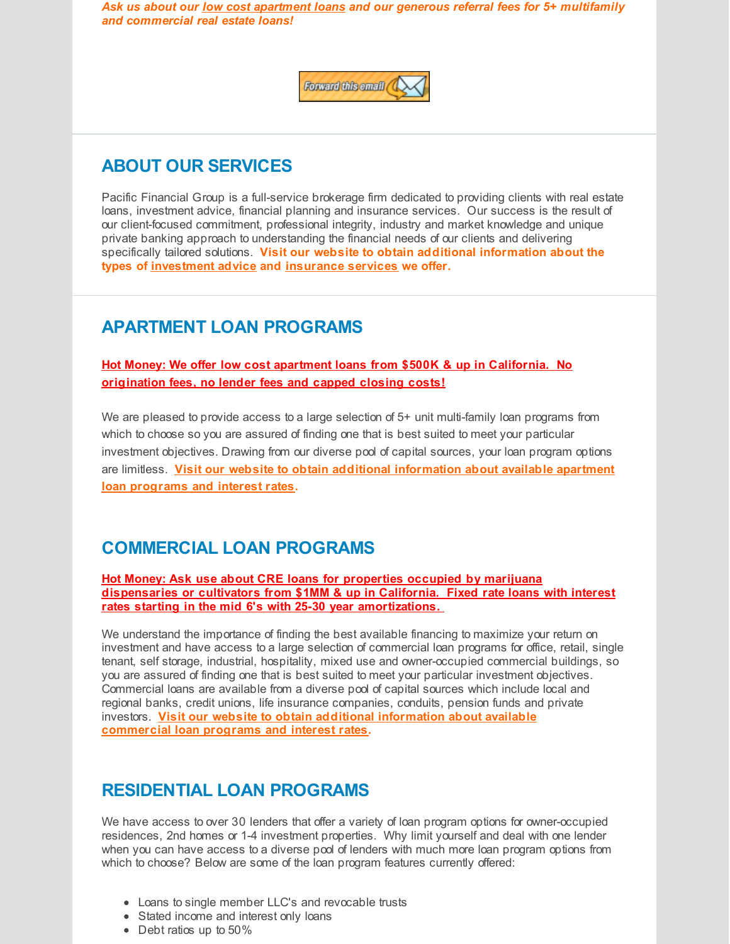*Ask us about our low cost apartment loans and our generous referral fees for 5+ multifamily and commercial real estate loans!*



## **ABOUT OUR SERVICES**

Pacific Financial Group is a full-service brokerage firm dedicated to providing clients with real estate loans, investment advice, financial planning and insurance services. Our success is the result of our client-focused commitment, professional integrity, industry and market knowledge and unique private banking approach to understanding the financial needs of our clients and delivering specifically tailored solutions. **Visit our website to obtain additional information about the types of [investment](http://r20.rs6.net/tn.jsp?f=001SoqyszVrLq2v-igpa_57o8rk9UZRrAeYBwRdgQ3tZCErMsm_Tp81iVFKs_qTSGKcPRoCnPxqqlRfK7ohESHgPjAODXW1I9rKWk3Yf26NSEYoodpGD9mdwXI4TA6aAeB8eVyF32NupMuucKmuRPlg91viSGozhjK-oqSOL0vsHQ2cujCVubPxvzufK-k1R5HSaXWH50X3-5w=&c=&ch=) advice and [insurance](http://r20.rs6.net/tn.jsp?f=001SoqyszVrLq2v-igpa_57o8rk9UZRrAeYBwRdgQ3tZCErMsm_Tp81iVFKs_qTSGKc6XDHixoEkKwLEHch8iZ2SjnflHrGl7oapYtb0DDwvtgfdPfWCjBkcy8B0v2p55mD90BTlz-jZECqKUIm_HvSuNPtnvJdqjnYTn4FZDXsx0IUV5PKIrVFHDI1C0IxJS-cleXXzjLRtRQ=&c=&ch=) services we offer.**

## **APARTMENT LOAN PROGRAMS**

**Hot Money: We offer low cost apartment loans from \$500K & up in California. No origination fees, no lender fees and capped closing costs!**

We are pleased to provide access to a large selection of 5+ unit multi-family loan programs from which to choose so you are assured of finding one that is best suited to meet your particular investment objectives. Drawing from our diverse pool of capital sources, your loan program options are limitless. **Visit our website to obtain additional [information](http://r20.rs6.net/tn.jsp?f=001SoqyszVrLq2v-igpa_57o8rk9UZRrAeYBwRdgQ3tZCErMsm_Tp81iVFKs_qTSGKcPeR7yWrbxWvE0NBErFGLjQdsh8sojXiN3xbFCpJ9TtrmJGJX6bLn0frxu-nvhXiO58efT3CKNYFP2v9ZtDFcyhBip8K_jFY7NiF1Tprb9EvjTIENZeScxRjYeY0skm88Yl2YiVH85cg=&c=&ch=) about available apartment loan programs and interest rates.**

## **COMMERCIAL LOAN PROGRAMS**

**Hot Money: Ask use about CRE loans for properties occupied by marijuana dispensaries or cultivators from \$1MM & up in California. Fixed rate loans with interest rates starting in the mid 6's with 25-30 year amortizations.**

We understand the importance of finding the best available financing to maximize your return on investment and have access to a large selection of commercial loan programs for office, retail, single tenant, self storage, industrial, hospitality, mixed use and owner-occupied commercial buildings, so you are assured of finding one that is best suited to meet your particular investment objectives. Commercial loans are available from a diverse pool of capital sources which include local and regional banks, credit unions, life insurance companies, conduits, pension funds and private investors. **Visit our website to obtain additional information about available [commercial](http://r20.rs6.net/tn.jsp?f=001SoqyszVrLq2v-igpa_57o8rk9UZRrAeYBwRdgQ3tZCErMsm_Tp81iVFKs_qTSGKc7fKEkmT-3u6_tCgroUDq6UFXZXhHatvfp06XWHZxXq7IMhlqCCf1n23Psfrf6RWRBJWFIjvtRPzJyCrrqsABVdlR4HDxzysjlp9sPzizLbegq4H8wgOY_sQYFEZbdc_NTudR1CTShF8=&c=&ch=) loan programs and interest rates.**

## **RESIDENTIAL LOAN PROGRAMS**

We have access to over 30 lenders that offer a variety of loan program options for owner-occupied residences, 2nd homes or 1-4 investment properties. Why limit yourself and deal with one lender when you can have access to a diverse pool of lenders with much more loan program options from which to choose? Below are some of the loan program features currently offered:

- Loans to single member LLC's and revocable trusts
- Stated income and interest only loans
- Debt ratios up to 50%